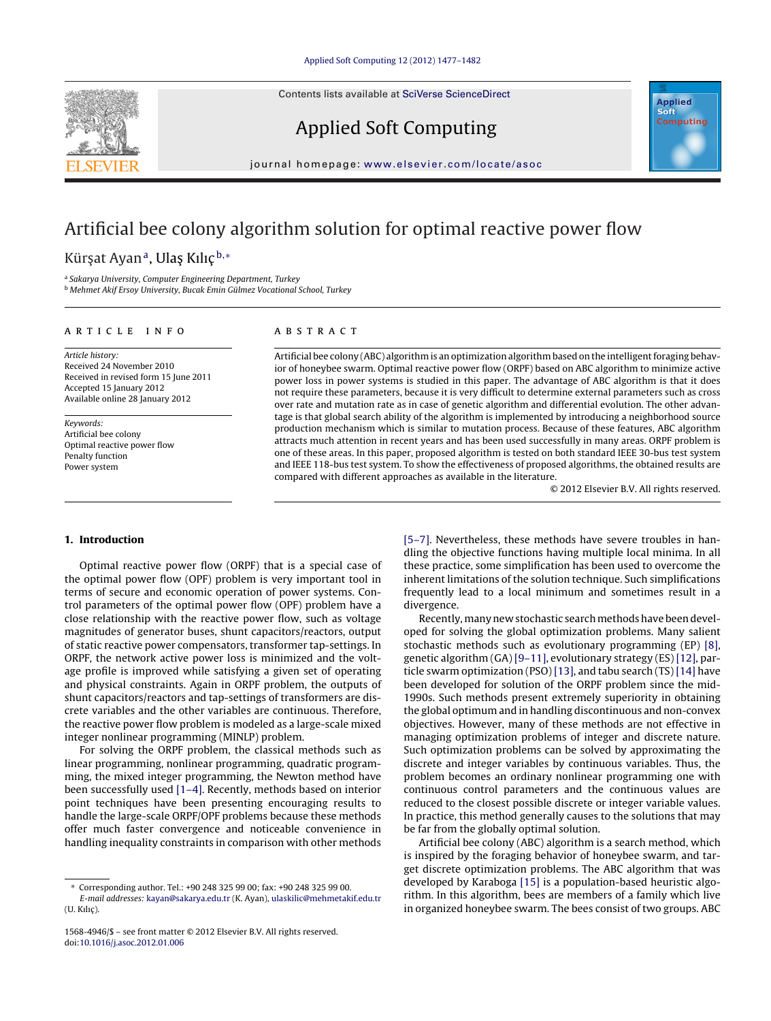Contents lists available at SciVerse [ScienceDirect](http://www.sciencedirect.com/science/journal/15684946)





### Applied Soft Computing

iournal homepage: <www.elsevier.com/locate/asoc>

# Artificial bee colony algorithm solution for optimal reactive power flow

### Kürşat Ayan<sup>a</sup>, Ulaş Kılıç<sup>b,\*</sup>

<sup>a</sup> Sakarya University, Computer Engineering Department, Turkey **b Mehmet Akif Ersoy University, Bucak Emin Gülmez Vocational School, Turkey** 

#### a r t i c l e i n f o

Article history: Received 24 November 2010 Received in revised form 15 June 2011 Accepted 15 January 2012 Available online 28 January 2012

Keywords: Artificial bee colony Optimal reactive power flow Penalty function Power system

#### A B S T R A C T

Artificial bee colony (ABC) algorithm is an optimization algorithm based on the intelligent foraging behavior of honeybee swarm. Optimal reactive power flow (ORPF) based on ABC algorithm to minimize active power loss in power systems is studied in this paper. The advantage of ABC algorithm is that it does not require these parameters, because it is very difficult to determine external parameters such as cross over rate and mutation rate as in case of genetic algorithm and differential evolution. The other advantage is that global search ability of the algorithm is implemented by introducing a neighborhood source production mechanism which is similar to mutation process. Because of these features, ABC algorithm attracts much attention in recent years and has been used successfully in many areas. ORPF problem is one of these areas. In this paper, proposed algorithm is tested on both standard IEEE 30-bus test system and IEEE 118-bus test system. To show the effectiveness of proposed algorithms, the obtained results are compared with different approaches as available in the literature.

© 2012 Elsevier B.V. All rights reserved.

#### **1. Introduction**

Optimal reactive power flow (ORPF) that is a special case of the optimal power flow (OPF) problem is very important tool in terms of secure and economic operation of power systems. Control parameters of the optimal power flow (OPF) problem have a close relationship with the reactive power flow, such as voltage magnitudes of generator buses, shunt capacitors/reactors, output of static reactive power compensators, transformer tap-settings. In ORPF, the network active power loss is minimized and the voltage profile is improved while satisfying a given set of operating and physical constraints. Again in ORPF problem, the outputs of shunt capacitors/reactors and tap-settings of transformers are discrete variables and the other variables are continuous. Therefore, the reactive power flow problem is modeled as a large-scale mixed integer nonlinear programming (MINLP) problem.

For solving the ORPF problem, the classical methods such as linear programming, nonlinear programming, quadratic programming, the mixed integer programming, the Newton method have been successfully used [\[1–4\].](#page--1-0) Recently, methods based on interior point techniques have been presenting encouraging results to handle the large-scale ORPF/OPF problems because these methods offer much faster convergence and noticeable convenience in handling inequality constraints in comparison with other methods

[\[5–7\].](#page--1-0) Nevertheless, these methods have severe troubles in handling the objective functions having multiple local minima. In all these practice, some simplification has been used to overcome the inherent limitations of the solution technique. Such simplifications frequently lead to a local minimum and sometimes result in a divergence.

Recently, many new stochastic search methods have been developed for solving the global optimization problems. Many salient stochastic methods such as evolutionary programming (EP) [\[8\],](#page--1-0) genetic algorithm (GA) [\[9–11\],](#page--1-0) evolutionary strategy (ES) [\[12\],](#page--1-0) particle swarm optimization (PSO) [\[13\],](#page--1-0) and tabu search (TS) [\[14\]](#page--1-0) have been developed for solution of the ORPF problem since the mid-1990s. Such methods present extremely superiority in obtaining the global optimum and in handling discontinuous and non-convex objectives. However, many of these methods are not effective in managing optimization problems of integer and discrete nature. Such optimization problems can be solved by approximating the discrete and integer variables by continuous variables. Thus, the problem becomes an ordinary nonlinear programming one with continuous control parameters and the continuous values are reduced to the closest possible discrete or integer variable values. In practice, this method generally causes to the solutions that may be far from the globally optimal solution.

Artificial bee colony (ABC) algorithm is a search method, which is inspired by the foraging behavior of honeybee swarm, and target discrete optimization problems. The ABC algorithm that was developed by Karaboga [\[15\]](#page--1-0) is a population-based heuristic algorithm. In this algorithm, bees are members of a family which live in organized honeybee swarm. The bees consist of two groups. ABC

<sup>∗</sup> Corresponding author. Tel.: +90 248 325 99 00; fax: +90 248 325 99 00. E-mail addresses: [kayan@sakarya.edu.tr](mailto:kayan@sakarya.edu.tr) (K. Ayan), [ulaskilic@mehmetakif.edu.tr](mailto:ulaskilic@mehmetakif.edu.tr) (U. Kılıc¸).

<sup>1568-4946/\$</sup> – see front matter © 2012 Elsevier B.V. All rights reserved. doi:[10.1016/j.asoc.2012.01.006](dx.doi.org/10.1016/j.asoc.2012.01.006)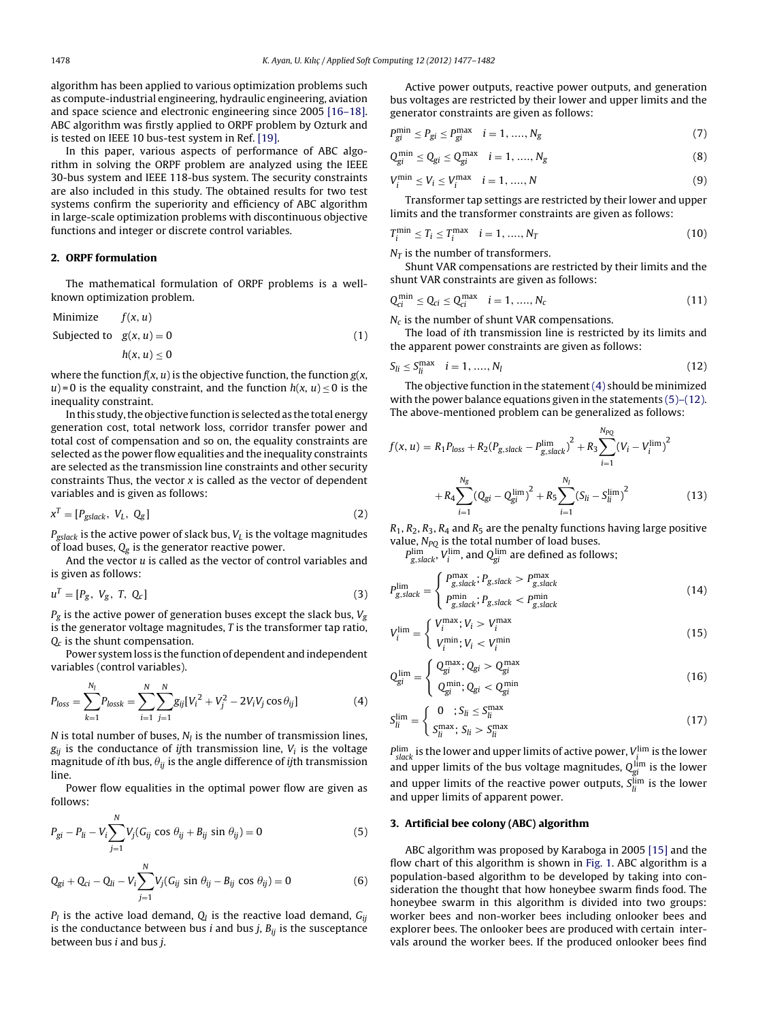algorithm has been applied to various optimization problems such as compute-industrial engineering, hydraulic engineering, aviation and space science and electronic engineering since 2005 [\[16–18\].](#page--1-0) ABC algorithm was firstly applied to ORPF problem by Ozturk and is tested on IEEE 10 bus-test system in Ref. [\[19\].](#page--1-0)

In this paper, various aspects of performance of ABC algorithm in solving the ORPF problem are analyzed using the IEEE 30-bus system and IEEE 118-bus system. The security constraints are also included in this study. The obtained results for two test systems confirm the superiority and efficiency of ABC algorithm in large-scale optimization problems with discontinuous objective functions and integer or discrete control variables.

#### **2. ORPF formulation**

The mathematical formulation of ORPF problems is a wellknown optimization problem.

Minimize 
$$
f(x, u)
$$
  
Subjected to  $g(x, u) = 0$   
 $h(x, u) \le 0$  (1)

where the function  $f(x, u)$  is the objective function, the function  $g(x, v)$  $u$ ) = 0 is the equality constraint, and the function  $h(x, u) \le 0$  is the inequality constraint.

In this study, the objective function is selected as the total energy generation cost, total network loss, corridor transfer power and total cost of compensation and so on, the equality constraints are selected as the power flow equalities and the inequality constraints are selected as the transmission line constraints and other security constraints Thus, the vector  $x$  is called as the vector of dependent variables and is given as follows:

$$
x^T = [P_{\text{gslack}}, V_L, Q_{\text{g}}]
$$
 (2)

 $P_{\text{gslack}}$  is the active power of slack bus,  $V_L$  is the voltage magnitudes of load buses,  $Q_g$  is the generator reactive power.

And the vector u is called as the vector of control variables and is given as follows:

$$
u^T = [P_g, V_g, T, Q_c]
$$
\n
$$
(3)
$$

 $P_g$  is the active power of generation buses except the slack bus,  $V_g$ is the generator voltage magnitudes, T is the transformer tap ratio,  $Q_c$  is the shunt compensation.

Power system loss is the function of dependent and independent variables (control variables).

$$
P_{loss} = \sum_{k=1}^{N_l} P_{lossk} = \sum_{i=1}^{N} \sum_{j=1}^{N} g_{ij} [V_i^2 + V_j^2 - 2V_i V_j \cos \theta_{ij}]
$$
(4)

N is total number of buses,  $N_l$  is the number of transmission lines,  $g_{ii}$  is the conductance of ijth transmission line,  $V_i$  is the voltage magnitude of ith bus,  $\theta_{ij}$  is the angle difference of ijth transmission line.

Power flow equalities in the optimal power flow are given as follows:

N

$$
P_{gi} - P_{li} - V_i \sum_{j=1}^{N} V_j (G_{ij} \cos \theta_{ij} + B_{ij} \sin \theta_{ij}) = 0
$$
 (5)

$$
Q_{gi} + Q_{ci} - Q_{li} - V_i \sum_{j=1}^{N} V_j (G_{ij} \sin \theta_{ij} - B_{ij} \cos \theta_{ij}) = 0
$$
 (6)

 $P_l$  is the active load demand,  $Q_l$  is the reactive load demand,  $G_{ij}$ is the conductance between bus *i* and bus *j*,  $B_{ij}$  is the susceptance between bus  $i$  and bus  $j$ .

Active power outputs, reactive power outputs, and generation bus voltages are restricted by their lower and upper limits and the generator constraints are given as follows:

$$
P_{gi}^{\min} \le P_{gi} \le P_{gi}^{\max} \quad i = 1, \dots, N_g \tag{7}
$$

$$
Q_{gi}^{\min} \le Q_{gi} \le Q_{gi}^{\max} \quad i = 1, \dots, N_g \tag{8}
$$

$$
V_i^{\min} \le V_i \le V_i^{\max} \quad i = 1, ..., N
$$
 (9)

Transformer tap settings are restricted by their lower and upper limits and the transformer constraints are given as follows:

$$
T_i^{\min} \le T_i \le T_i^{\max} \quad i = 1, \dots, N_T \tag{10}
$$

 $N_T$  is the number of transformers.

Shunt VAR compensations are restricted by their limits and the shunt VAR constraints are given as follows:

$$
Q_{ci}^{\min} \le Q_{ci} \le Q_{ci}^{\max} \quad i = 1, ..., N_c
$$
\n(11)

 $N_c$  is the number of shunt VAR compensations.

The load of ith transmission line is restricted by its limits and the apparent power constraints are given as follows:

$$
S_{li} \le S_{li}^{\max} \quad i = 1, \dots, N_l \tag{12}
$$

The objective function in the statement  $(4)$  should be minimized with the power balance equations given in the statements (5)–(12). The above-mentioned problem can be generalized as follows:

 $\lambda$ 

$$
f(x, u) = R_1 P_{loss} + R_2 (P_{g, slack} - P_{g,slack}^{\text{lim}})^2 + R_3 \sum_{i=1}^{N_f} (V_i - V_i^{\text{lim}})^2
$$
  
+ 
$$
R_4 \sum_{i=1}^{N_g} (Q_{gi} - Q_{gi}^{\text{lim}})^2 + R_5 \sum_{i=1}^{N_f} (S_{li} - S_{li}^{\text{lim}})^2
$$
(13)

 $R_1, R_2, R_3, R_4$  and  $R_5$  are the penalty functions having large positive value,  $N_{PQ}$  is the total number of load buses.

 $P_{g,slack}^{\text{lim}},$   $V_i^{\text{lim}},$  and  $Q_{gi}^{\text{lim}}$  are defined as follows;

$$
P_{g,slack}^{\text{lim}} = \begin{cases} P_{g, slack}^{\text{max}}; P_{g,slack} > P_{g,slack}^{\text{max}} \\ P_{g,slack}^{\text{min}}; P_{g, slack} < P_{g, slack}^{\text{min}} \end{cases} \tag{14}
$$

$$
V_i^{\text{lim}} = \begin{cases} V_i^{\text{max}}; V_i > V_i^{\text{max}} \\ V_i^{\text{min}}; V_i < V_i^{\text{min}} \end{cases}
$$
(15)

$$
Q_{gi}^{\lim} = \begin{cases} Q_{gi}^{\max}; Q_{gi} > Q_{gi}^{\max} \\ Q_{gi}^{\min}; Q_{gi} < Q_{gi}^{\min} \end{cases}
$$
(16)

$$
S_{li}^{\text{lim}} = \begin{cases} 0 & ; S_{li} \le S_{li}^{\text{max}} \\ S_{li}^{\text{max}}; S_{li} > S_{li}^{\text{max}} \end{cases}
$$
(17)

 $P_{\textit{slack}}^{\text{lim}}$  is the lower and upper limits of active power,  $V^{\text{lim}}_{i}$  is the lower and upper limits of the bus voltage magnitudes,  $Q_{\rm gi}^{\rm lim}$  is the lower and upper limits of the reactive power outputs,  $S_{li}^{\text{lim}}$  is the lower and upper limits of apparent power.

#### **3. Artificial bee colony (ABC) algorithm**

ABC algorithm was proposed by Karaboga in 2005 [\[15\]](#page--1-0) and the flow chart of this algorithm is shown in [Fig.](#page--1-0) 1. ABC algorithm is a population-based algorithm to be developed by taking into consideration the thought that how honeybee swarm finds food. The honeybee swarm in this algorithm is divided into two groups: worker bees and non-worker bees including onlooker bees and explorer bees. The onlooker bees are produced with certain intervals around the worker bees. If the produced onlooker bees find